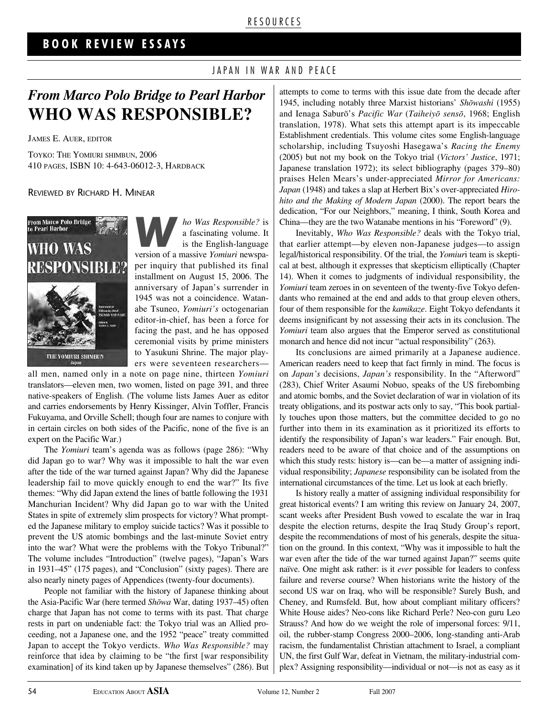#### R E S O U R C E S

### **B O O K R E V I E W E S S A Y S**

#### JAPAN IN WAR AND PEACE

## *From Marco Polo Bridge to Pearl Harbor* **WHO WAS RESPONSIBLE?**

JAMES E. AUER, EDITOR

TOYKO: THE YOMIURI SHIMBUN, 2006 410 PAGES, ISBN 10: 4-643-06012-3, HARDBACK

REVIEWED BY RICHARD H. MINEAR



*ho Was Responsible?* is<br>
a fascinating volume. It<br>
is the English-language<br>
version of a massive Yomiuri newspaa fascinating volume. It version of a massive *Yomiuri* newspaper inquiry that published its final installment on August 15, 2006. The anniversary of Japan's surrender in 1945 was not a coincidence. Watanabe Tsuneo, *Yomiuri's* octogenarian editor-in-chief, has been a force for facing the past, and he has opposed ceremonial visits by prime ministers to Yasukuni Shrine. The major players were seventeen researchers—

all men, named only in a note on page nine, thirteen *Yomiuri* translators—eleven men, two women, listed on page 391, and three native-speakers of English. (The volume lists James Auer as editor and carries endorsements by Henry Kissinger, Alvin Toffler, Francis Fukuyama, and Orville Schell; though four are names to conjure with in certain circles on both sides of the Pacific, none of the five is an expert on the Pacific War.)

The *Yomiuri* team's agenda was as follows (page 286): "Why did Japan go to war? Why was it impossible to halt the war even after the tide of the war turned against Japan? Why did the Japanese leadership fail to move quickly enough to end the war?" Its five themes: "Why did Japan extend the lines of battle following the 1931 Manchurian Incident? Why did Japan go to war with the United States in spite of extremely slim prospects for victory? What prompted the Japanese military to employ suicide tactics? Was it possible to prevent the US atomic bombings and the last-minute Soviet entry into the war? What were the problems with the Tokyo Tribunal?" The volume includes "Introduction" (twelve pages), "Japan's Wars in 1931–45" (175 pages), and "Conclusion" (sixty pages). There are also nearly ninety pages of Appendices (twenty-four documents).

People not familiar with the history of Japanese thinking about the Asia-Pacific War (here termed *Shōwa* War, dating 1937–45) often charge that Japan has not come to terms with its past. That charge rests in part on undeniable fact: the Tokyo trial was an Allied proceeding, not a Japanese one, and the 1952 "peace" treaty committed Japan to accept the Tokyo verdicts. *Who Was Responsible?* may reinforce that idea by claiming to be "the first [war responsibility examination] of its kind taken up by Japanese themselves" (286). But attempts to come to terms with this issue date from the decade after 1945, including notably three Marxist historians' *Shōwashi* (1955) and Ienaga Saburō's *Pacific War (Taiheiyō sensō*, 1968; English translation, 1978). What sets this attempt apart is its impeccable Establishment credentials. This volume cites some English-language scholarship, including Tsuyoshi Hasegawa's *Racing the Enemy* (2005) but not my book on the Tokyo trial (*Victors' Justice*, 1971; Japanese translation 1972); its select bibliography (pages 379–80) praises Helen Mears's under-appreciated *Mirror for Americans: Japan* (1948) and takes a slap at Herbert Bix's over-appreciated *Hirohito and the Making of Modern Japan* (2000). The report bears the dedication, "For our Neighbors," meaning, I think, South Korea and China—they are the two Watanabe mentions in his "Foreword" (9).

Inevitably, *Who Was Responsible?* deals with the Tokyo trial, that earlier attempt—by eleven non-Japanese judges—to assign legal/historical responsibility. Of the trial, the *Yomiur*i team is skeptical at best, although it expresses that skepticism elliptically (Chapter 14). When it comes to judgments of individual responsibility, the *Yomiuri* team zeroes in on seventeen of the twenty-five Tokyo defendants who remained at the end and adds to that group eleven others, four of them responsible for the *kamikaze*. Eight Tokyo defendants it deems insignificant by not assessing their acts in its conclusion. The *Yomiuri* team also argues that the Emperor served as constitutional monarch and hence did not incur "actual responsibility" (263).

Its conclusions are aimed primarily at a Japanese audience. American readers need to keep that fact firmly in mind. The focus is on *Japan's* decisions, *Japan's* responsibility. In the "Afterword" (283), Chief Writer Asaumi Nobuo, speaks of the US firebombing and atomic bombs, and the Soviet declaration of war in violation of its treaty obligations, and its postwar acts only to say, "This book partially touches upon those matters, but the committee decided to go no further into them in its examination as it prioritized its efforts to identify the responsibility of Japan's war leaders." Fair enough. But, readers need to be aware of that choice and of the assumptions on which this study rests: history is—can be—a matter of assigning individual responsibility; *Japanese* responsibility can be isolated from the international circumstances of the time. Let us look at each briefly.

Is history really a matter of assigning individual responsibility for great historical events? I am writing this review on January 24, 2007, scant weeks after President Bush vowed to escalate the war in Iraq despite the election returns, despite the Iraq Study Group's report, despite the recommendations of most of his generals, despite the situation on the ground. In this context, "Why was it impossible to halt the war even after the tide of the war turned against Japan?" seems quite naïve. One might ask rather: is it *ever* possible for leaders to confess failure and reverse course? When historians write the history of the second US war on Iraq, who will be responsible? Surely Bush, and Cheney, and Rumsfeld. But, how about compliant military officers? White House aides? Neo-cons like Richard Perle? Neo-con guru Leo Strauss? And how do we weight the role of impersonal forces: 9/11, oil, the rubber-stamp Congress 2000–2006, long-standing anti-Arab racism, the fundamentalist Christian attachment to Israel, a compliant UN, the first Gulf War, defeat in Vietnam, the military-industrial complex? Assigning responsibility—individual or not—is not as easy as it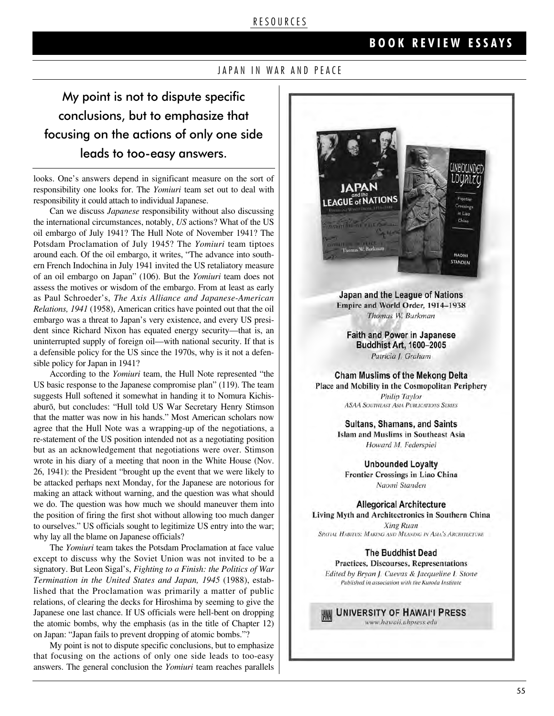#### R E S O U R C E S

### **B O O K R E V I E W E S S A Y S**

#### JAPAN IN WAR AND PEACE

My point is not to dispute specific conclusions, but to emphasize that focusing on the actions of only one side leads to too-easy answers.

looks. One's answers depend in significant measure on the sort of responsibility one looks for. The *Yomiuri* team set out to deal with responsibility it could attach to individual Japanese.

Can we discuss *Japanese* responsibility without also discussing the international circumstances, notably, *US* actions? What of the US oil embargo of July 1941? The Hull Note of November 1941? The Potsdam Proclamation of July 1945? The *Yomiuri* team tiptoes around each. Of the oil embargo, it writes, "The advance into southern French Indochina in July 1941 invited the US retaliatory measure of an oil embargo on Japan" (106). But the *Yomiuri* team does not assess the motives or wisdom of the embargo. From at least as early as Paul Schroeder's, *The Axis Alliance and Japanese-American Relations, 1941* (1958), American critics have pointed out that the oil embargo was a threat to Japan's very existence, and every US president since Richard Nixon has equated energy security—that is, an uninterrupted supply of foreign oil—with national security. If that is a defensible policy for the US since the 1970s, why is it not a defensible policy for Japan in 1941?

According to the *Yomiuri* team, the Hull Note represented "the US basic response to the Japanese compromise plan" (119). The team suggests Hull softened it somewhat in handing it to Nomura Kichisaburō, but concludes: "Hull told US War Secretary Henry Stimson that the matter was now in his hands." Most American scholars now agree that the Hull Note was a wrapping-up of the negotiations, a re-statement of the US position intended not as a negotiating position but as an acknowledgement that negotiations were over. Stimson wrote in his diary of a meeting that noon in the White House (Nov. 26, 1941): the President "brought up the event that we were likely to be attacked perhaps next Monday, for the Japanese are notorious for making an attack without warning, and the question was what should we do. The question was how much we should maneuver them into the position of firing the first shot without allowing too much danger to ourselves." US officials sought to legitimize US entry into the war; why lay all the blame on Japanese officials?

The *Yomiuri* team takes the Potsdam Proclamation at face value except to discuss why the Soviet Union was not invited to be a signatory. But Leon Sigal's, *Fighting to a Finish: the Politics of War Termination in the United States and Japan, 1945* (1988), established that the Proclamation was primarily a matter of public relations, of clearing the decks for Hiroshima by seeming to give the Japanese one last chance. If US officials were hell-bent on dropping the atomic bombs, why the emphasis (as in the title of Chapter 12) on Japan: "Japan fails to prevent dropping of atomic bombs."?

My point is not to dispute specific conclusions, but to emphasize that focusing on the actions of only one side leads to too-easy answers. The general conclusion the *Yomiuri* team reaches parallels



Japan and the League of Nations Empire and World Order, 1914-1938 Thomas W. Burkman

**Faith and Power in Japanese Buddhist Art, 1600-2005** Patricia J. Graham

**Cham Muslims of the Mekong Delta** Place and Mobility in the Cosmopolitan Periphery **Philip Taylor ASAA SOUTHEAST ASIA PUBLICATIONS SERIES** 

> **Sultans, Shamans, and Saints Islam and Muslims in Southeast Asia** Howard M. Federspiel

**Unbounded Loyalty** Frontier Crossings in Liao China Naomi Standen

**Allegorical Architecture** Living Myth and Architectronics in Southern China **Xing Ruan** SPATIAL HABITUS: MAKING AND MEANING IN ASIA'S ARCHITECTURE

**The Buddhist Dead** 

Practices, Discourses, Representations Edited by Bryan J. Cuevas & Jacqueline I. Stone Published in association with the Kuroda Institute

UNIVERSITY OF HAWAI'I PRESS

www.hawaii.uhpress.edu